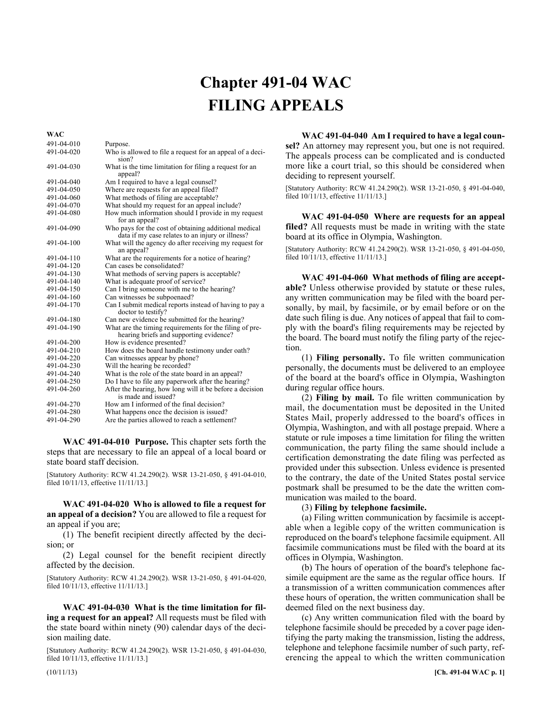## Chapter 491-04 **Chapter 491-04 WAC FILING APPEALS**

491-04-010 Purpose. 491-04-020 Who is allowed to file a request for an appeal of a decision? 491-04-030 What is the time limitation for filing a request for an appeal? 491-04-040 Am I required to have a legal counsel? 491-04-050 Where are requests for an appeal filed?<br>491-04-060 What methods of filing are acceptable? 491-04-060 What methods of filing are acceptable?<br>491-04-070 What should my request for an appeal i What should my request for an appeal include? 491-04-080 How much information should I provide in my request for an appeal? 491-04-090 Who pays for the cost of obtaining additional medical data if my case relates to an injury or illness? 491-04-100 What will the agency do after receiving my request for an appeal? 491-04-110 What are the requirements for a notice of hearing?<br>491-04-120 Can cases be consolidated? 491-04-120 Can cases be consolidated?<br>491-04-130 What methods of serving pa 491-04-130 What methods of serving papers is acceptable?<br>491-04-140 What is adequate proof of service? What is adequate proof of service? 491-04-150 Can I bring someone with me to the hearing?<br>491-04-160 Can witnesses be subpoenaed? Can witnesses be subpoenaed? 491-04-170 Can I submit medical reports instead of having to pay a doctor to testify? 491-04-180 Can new evidence be submitted for the hearing? 491-04-190 What are the timing requirements for the filing of prehearing briefs and supporting evidence? 491-04-200 How is evidence presented?<br>491-04-210 How does the board handle How does the board handle testimony under oath? 491-04-220 Can witnesses appear by phone?<br>491-04-230 Will the hearing be recorded? 491-04-230 Will the hearing be recorded?<br>491-04-240 What is the role of the state bo 491-04-240 What is the role of the state board in an appeal?<br>491-04-250 Do I have to file any paperwork after the hearing 491-04-250 Do I have to file any paperwork after the hearing?<br>491-04-260 After the hearing, how long will it be before a dec After the hearing, how long will it be before a decision is made and issued? 491-04-270 How am I informed of the final decision?<br>491-04-280 What happens once the decision is issued 491-04-280 What happens once the decision is issued?<br>491-04-290 Are the parties allowed to reach a settleme Are the parties allowed to reach a settlement?

491-04-010 **WAC 491-04-010 Purpose.** This chapter sets forth the steps that are necessary to file an appeal of a local board or state board staff decision.

[Statutory Authority: RCW 41.24.290(2). WSR 13-21-050, § 491-04-010, filed 10/11/13, effective 11/11/13.]

491-04-020 **WAC 491-04-020 Who is allowed to file a request for an appeal of a decision?** You are allowed to file a request for an appeal if you are;

(1) The benefit recipient directly affected by the decision; or

(2) Legal counsel for the benefit recipient directly affected by the decision.

[Statutory Authority: RCW 41.24.290(2). WSR 13-21-050, § 491-04-020, filed 10/11/13, effective 11/11/13.]

491-04-030 **WAC 491-04-030 What is the time limitation for filing a request for an appeal?** All requests must be filed with the state board within ninety (90) calendar days of the decision mailing date.

[Statutory Authority: RCW 41.24.290(2). WSR 13-21-050, § 491-04-030, filed 10/11/13, effective 11/11/13.]

491-04-040 **WAC 491-04-040 Am I required to have a legal counsel?** An attorney may represent you, but one is not required. The appeals process can be complicated and is conducted more like a court trial, so this should be considered when deciding to represent yourself.

[Statutory Authority: RCW 41.24.290(2). WSR 13-21-050, § 491-04-040, filed 10/11/13, effective 11/11/13.]

491-04-050 **WAC 491-04-050 Where are requests for an appeal filed?** All requests must be made in writing with the state board at its office in Olympia, Washington.

[Statutory Authority: RCW 41.24.290(2). WSR 13-21-050, § 491-04-050, filed 10/11/13, effective 11/11/13.]

491-04-060 **WAC 491-04-060 What methods of filing are acceptable?** Unless otherwise provided by statute or these rules, any written communication may be filed with the board personally, by mail, by facsimile, or by email before or on the date such filing is due. Any notices of appeal that fail to comply with the board's filing requirements may be rejected by the board. The board must notify the filing party of the rejection.

(1) **Filing personally.** To file written communication personally, the documents must be delivered to an employee of the board at the board's office in Olympia, Washington during regular office hours.

(2) **Filing by mail.** To file written communication by mail, the documentation must be deposited in the United States Mail, properly addressed to the board's offices in Olympia, Washington, and with all postage prepaid. Where a statute or rule imposes a time limitation for filing the written communication, the party filing the same should include a certification demonstrating the date filing was perfected as provided under this subsection. Unless evidence is presented to the contrary, the date of the United States postal service postmark shall be presumed to be the date the written communication was mailed to the board.

(3) **Filing by telephone facsimile.**

(a) Filing written communication by facsimile is acceptable when a legible copy of the written communication is reproduced on the board's telephone facsimile equipment. All facsimile communications must be filed with the board at its offices in Olympia, Washington.

(b) The hours of operation of the board's telephone facsimile equipment are the same as the regular office hours. If a transmission of a written communication commences after these hours of operation, the written communication shall be deemed filed on the next business day.

(c) Any written communication filed with the board by telephone facsimile should be preceded by a cover page identifying the party making the transmission, listing the address, telephone and telephone facsimile number of such party, referencing the appeal to which the written communication

**WAC**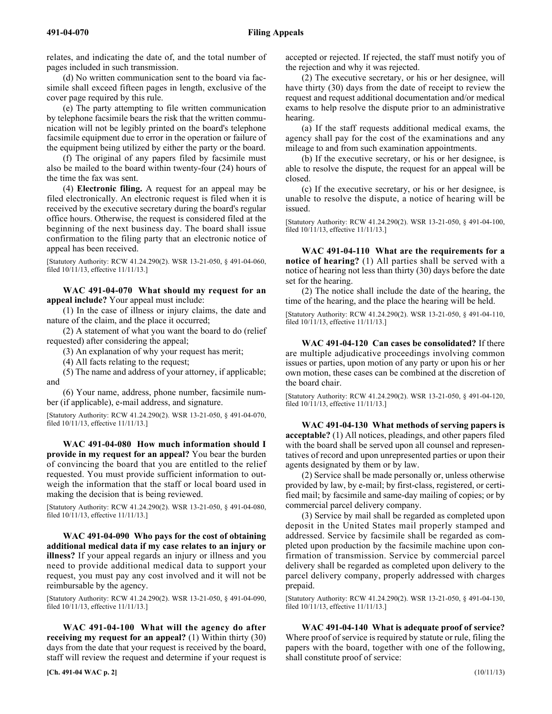relates, and indicating the date of, and the total number of pages included in such transmission.

(d) No written communication sent to the board via facsimile shall exceed fifteen pages in length, exclusive of the cover page required by this rule.

(e) The party attempting to file written communication by telephone facsimile bears the risk that the written communication will not be legibly printed on the board's telephone facsimile equipment due to error in the operation or failure of the equipment being utilized by either the party or the board.

(f) The original of any papers filed by facsimile must also be mailed to the board within twenty-four (24) hours of the time the fax was sent.

(4) **Electronic filing.** A request for an appeal may be filed electronically. An electronic request is filed when it is received by the executive secretary during the board's regular office hours. Otherwise, the request is considered filed at the beginning of the next business day. The board shall issue confirmation to the filing party that an electronic notice of appeal has been received.

[Statutory Authority: RCW 41.24.290(2). WSR 13-21-050, § 491-04-060, filed 10/11/13, effective 11/11/13.]

491-04-070 **WAC 491-04-070 What should my request for an appeal include?** Your appeal must include:

(1) In the case of illness or injury claims, the date and nature of the claim, and the place it occurred;

(2) A statement of what you want the board to do (relief requested) after considering the appeal;

(3) An explanation of why your request has merit;

(4) All facts relating to the request;

(5) The name and address of your attorney, if applicable; and

(6) Your name, address, phone number, facsimile number (if applicable), e-mail address, and signature.

[Statutory Authority: RCW 41.24.290(2). WSR 13-21-050, § 491-04-070, filed 10/11/13, effective 11/11/13.]

491-04-080 **WAC 491-04-080 How much information should I provide in my request for an appeal?** You bear the burden of convincing the board that you are entitled to the relief requested. You must provide sufficient information to outweigh the information that the staff or local board used in making the decision that is being reviewed.

[Statutory Authority: RCW 41.24.290(2). WSR 13-21-050, § 491-04-080, filed 10/11/13, effective 11/11/13.]

491-04-090 **WAC 491-04-090 Who pays for the cost of obtaining additional medical data if my case relates to an injury or illness?** If your appeal regards an injury or illness and you need to provide additional medical data to support your request, you must pay any cost involved and it will not be reimbursable by the agency.

[Statutory Authority: RCW 41.24.290(2). WSR 13-21-050, § 491-04-090, filed 10/11/13, effective 11/11/13.]

491-04-100 **WAC 491-04-100 What will the agency do after receiving my request for an appeal?** (1) Within thirty (30) days from the date that your request is received by the board, staff will review the request and determine if your request is accepted or rejected. If rejected, the staff must notify you of the rejection and why it was rejected.

(2) The executive secretary, or his or her designee, will have thirty (30) days from the date of receipt to review the request and request additional documentation and/or medical exams to help resolve the dispute prior to an administrative hearing.

(a) If the staff requests additional medical exams, the agency shall pay for the cost of the examinations and any mileage to and from such examination appointments.

(b) If the executive secretary, or his or her designee, is able to resolve the dispute, the request for an appeal will be closed.

(c) If the executive secretary, or his or her designee, is unable to resolve the dispute, a notice of hearing will be issued.

[Statutory Authority: RCW 41.24.290(2). WSR 13-21-050, § 491-04-100, filed 10/11/13, effective 11/11/13.]

491-04-110 **WAC 491-04-110 What are the requirements for a notice of hearing?** (1) All parties shall be served with a notice of hearing not less than thirty (30) days before the date set for the hearing.

(2) The notice shall include the date of the hearing, the time of the hearing, and the place the hearing will be held.

[Statutory Authority: RCW 41.24.290(2). WSR 13-21-050, § 491-04-110, filed 10/11/13, effective 11/11/13.]

491-04-120 **WAC 491-04-120 Can cases be consolidated?** If there are multiple adjudicative proceedings involving common issues or parties, upon motion of any party or upon his or her own motion, these cases can be combined at the discretion of the board chair.

[Statutory Authority: RCW 41.24.290(2). WSR 13-21-050, § 491-04-120, filed 10/11/13, effective 11/11/13.]

491-04-130 **WAC 491-04-130 What methods of serving papers is acceptable?** (1) All notices, pleadings, and other papers filed with the board shall be served upon all counsel and representatives of record and upon unrepresented parties or upon their agents designated by them or by law.

(2) Service shall be made personally or, unless otherwise provided by law, by e-mail; by first-class, registered, or certified mail; by facsimile and same-day mailing of copies; or by commercial parcel delivery company.

(3) Service by mail shall be regarded as completed upon deposit in the United States mail properly stamped and addressed. Service by facsimile shall be regarded as completed upon production by the facsimile machine upon confirmation of transmission. Service by commercial parcel delivery shall be regarded as completed upon delivery to the parcel delivery company, properly addressed with charges prepaid.

[Statutory Authority: RCW 41.24.290(2). WSR 13-21-050, § 491-04-130, filed 10/11/13, effective 11/11/13.]

491-04-140 **WAC 491-04-140 What is adequate proof of service?** Where proof of service is required by statute or rule, filing the papers with the board, together with one of the following, shall constitute proof of service: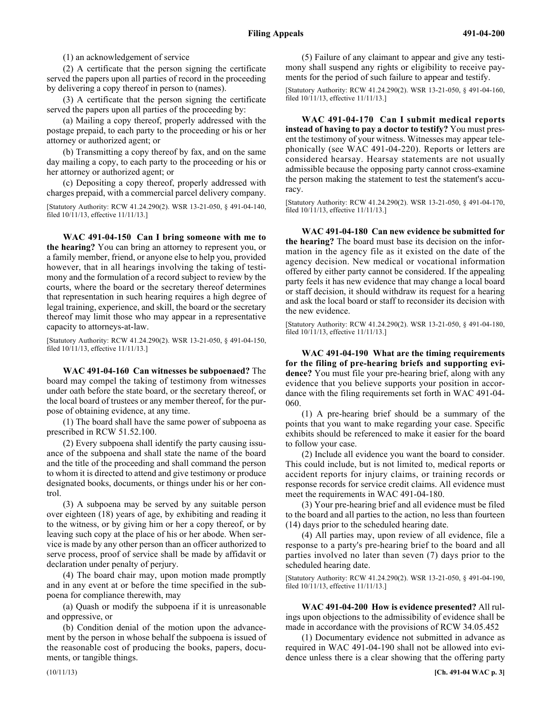(1) an acknowledgement of service

(2) A certificate that the person signing the certificate served the papers upon all parties of record in the proceeding by delivering a copy thereof in person to (names).

(3) A certificate that the person signing the certificate served the papers upon all parties of the proceeding by:

(a) Mailing a copy thereof, properly addressed with the postage prepaid, to each party to the proceeding or his or her attorney or authorized agent; or

(b) Transmitting a copy thereof by fax, and on the same day mailing a copy, to each party to the proceeding or his or her attorney or authorized agent; or

(c) Depositing a copy thereof, properly addressed with charges prepaid, with a commercial parcel delivery company.

[Statutory Authority: RCW 41.24.290(2). WSR 13-21-050, § 491-04-140, filed 10/11/13, effective 11/11/13.]

491-04-150 **WAC 491-04-150 Can I bring someone with me to the hearing?** You can bring an attorney to represent you, or a family member, friend, or anyone else to help you, provided however, that in all hearings involving the taking of testimony and the formulation of a record subject to review by the courts, where the board or the secretary thereof determines that representation in such hearing requires a high degree of legal training, experience, and skill, the board or the secretary thereof may limit those who may appear in a representative capacity to attorneys-at-law.

[Statutory Authority: RCW 41.24.290(2). WSR 13-21-050, § 491-04-150, filed 10/11/13, effective 11/11/13.]

491-04-160 **WAC 491-04-160 Can witnesses be subpoenaed?** The board may compel the taking of testimony from witnesses under oath before the state board, or the secretary thereof, or the local board of trustees or any member thereof, for the purpose of obtaining evidence, at any time.

(1) The board shall have the same power of subpoena as prescribed in RCW 51.52.100.

(2) Every subpoena shall identify the party causing issuance of the subpoena and shall state the name of the board and the title of the proceeding and shall command the person to whom it is directed to attend and give testimony or produce designated books, documents, or things under his or her control.

(3) A subpoena may be served by any suitable person over eighteen (18) years of age, by exhibiting and reading it to the witness, or by giving him or her a copy thereof, or by leaving such copy at the place of his or her abode. When service is made by any other person than an officer authorized to serve process, proof of service shall be made by affidavit or declaration under penalty of perjury.

(4) The board chair may, upon motion made promptly and in any event at or before the time specified in the subpoena for compliance therewith, may

(a) Quash or modify the subpoena if it is unreasonable and oppressive, or

(b) Condition denial of the motion upon the advancement by the person in whose behalf the subpoena is issued of the reasonable cost of producing the books, papers, documents, or tangible things.

(5) Failure of any claimant to appear and give any testimony shall suspend any rights or eligibility to receive payments for the period of such failure to appear and testify.

[Statutory Authority: RCW 41.24.290(2). WSR 13-21-050, § 491-04-160, filed 10/11/13, effective 11/11/13.]

491-04-170 **WAC 491-04-170 Can I submit medical reports instead of having to pay a doctor to testify?** You must present the testimony of your witness. Witnesses may appear telephonically (see WAC 491-04-220). Reports or letters are considered hearsay. Hearsay statements are not usually admissible because the opposing party cannot cross-examine the person making the statement to test the statement's accuracy.

[Statutory Authority: RCW 41.24.290(2). WSR 13-21-050, § 491-04-170, filed 10/11/13, effective 11/11/13.]

491-04-180 **WAC 491-04-180 Can new evidence be submitted for the hearing?** The board must base its decision on the information in the agency file as it existed on the date of the agency decision. New medical or vocational information offered by either party cannot be considered. If the appealing party feels it has new evidence that may change a local board or staff decision, it should withdraw its request for a hearing and ask the local board or staff to reconsider its decision with the new evidence.

[Statutory Authority: RCW 41.24.290(2). WSR 13-21-050, § 491-04-180, filed 10/11/13, effective 11/11/13.]

491-04-190 **WAC 491-04-190 What are the timing requirements for the filing of pre-hearing briefs and supporting evidence?** You must file your pre-hearing brief, along with any evidence that you believe supports your position in accordance with the filing requirements set forth in WAC 491-04- 060.

(1) A pre-hearing brief should be a summary of the points that you want to make regarding your case. Specific exhibits should be referenced to make it easier for the board to follow your case.

(2) Include all evidence you want the board to consider. This could include, but is not limited to, medical reports or accident reports for injury claims, or training records or response records for service credit claims. All evidence must meet the requirements in WAC 491-04-180.

(3) Your pre-hearing brief and all evidence must be filed to the board and all parties to the action, no less than fourteen (14) days prior to the scheduled hearing date.

(4) All parties may, upon review of all evidence, file a response to a party's pre-hearing brief to the board and all parties involved no later than seven (7) days prior to the scheduled hearing date.

[Statutory Authority: RCW 41.24.290(2). WSR 13-21-050, § 491-04-190, filed 10/11/13, effective 11/11/13.]

491-04-200 **WAC 491-04-200 How is evidence presented?** All rulings upon objections to the admissibility of evidence shall be made in accordance with the provisions of RCW 34.05.452

(1) Documentary evidence not submitted in advance as required in WAC 491-04-190 shall not be allowed into evidence unless there is a clear showing that the offering party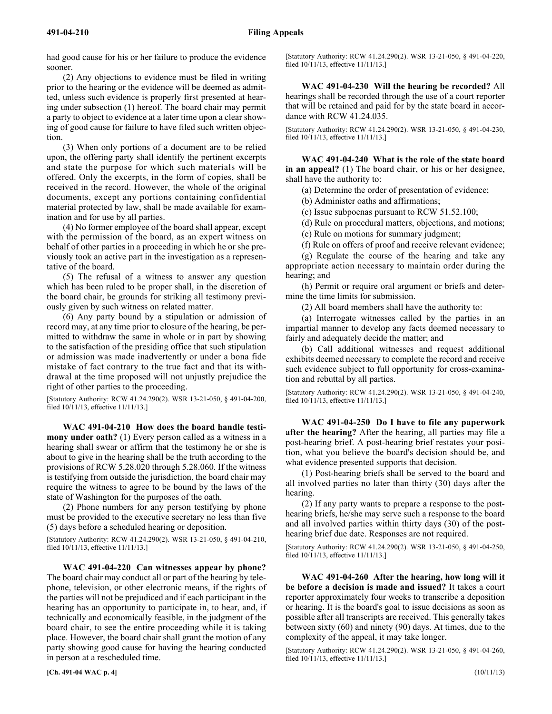had good cause for his or her failure to produce the evidence sooner.

(2) Any objections to evidence must be filed in writing prior to the hearing or the evidence will be deemed as admitted, unless such evidence is properly first presented at hearing under subsection (1) hereof. The board chair may permit a party to object to evidence at a later time upon a clear showing of good cause for failure to have filed such written objection.

(3) When only portions of a document are to be relied upon, the offering party shall identify the pertinent excerpts and state the purpose for which such materials will be offered. Only the excerpts, in the form of copies, shall be received in the record. However, the whole of the original documents, except any portions containing confidential material protected by law, shall be made available for examination and for use by all parties.

(4) No former employee of the board shall appear, except with the permission of the board, as an expert witness on behalf of other parties in a proceeding in which he or she previously took an active part in the investigation as a representative of the board.

(5) The refusal of a witness to answer any question which has been ruled to be proper shall, in the discretion of the board chair, be grounds for striking all testimony previously given by such witness on related matter.

(6) Any party bound by a stipulation or admission of record may, at any time prior to closure of the hearing, be permitted to withdraw the same in whole or in part by showing to the satisfaction of the presiding office that such stipulation or admission was made inadvertently or under a bona fide mistake of fact contrary to the true fact and that its withdrawal at the time proposed will not unjustly prejudice the right of other parties to the proceeding.

[Statutory Authority: RCW 41.24.290(2). WSR 13-21-050, § 491-04-200, filed 10/11/13, effective 11/11/13.]

491-04-210 **WAC 491-04-210 How does the board handle testimony under oath?** (1) Every person called as a witness in a hearing shall swear or affirm that the testimony he or she is about to give in the hearing shall be the truth according to the provisions of RCW 5.28.020 through 5.28.060. If the witness is testifying from outside the jurisdiction, the board chair may require the witness to agree to be bound by the laws of the state of Washington for the purposes of the oath.

(2) Phone numbers for any person testifying by phone must be provided to the executive secretary no less than five (5) days before a scheduled hearing or deposition.

[Statutory Authority: RCW 41.24.290(2). WSR 13-21-050, § 491-04-210, filed 10/11/13, effective 11/11/13.]

491-04-220 **WAC 491-04-220 Can witnesses appear by phone?** The board chair may conduct all or part of the hearing by telephone, television, or other electronic means, if the rights of the parties will not be prejudiced and if each participant in the hearing has an opportunity to participate in, to hear, and, if technically and economically feasible, in the judgment of the board chair, to see the entire proceeding while it is taking place. However, the board chair shall grant the motion of any party showing good cause for having the hearing conducted in person at a rescheduled time.

[Statutory Authority: RCW 41.24.290(2). WSR 13-21-050, § 491-04-220, filed 10/11/13, effective 11/11/13.]

491-04-230 **WAC 491-04-230 Will the hearing be recorded?** All hearings shall be recorded through the use of a court reporter that will be retained and paid for by the state board in accordance with RCW 41.24.035.

[Statutory Authority: RCW 41.24.290(2). WSR 13-21-050, § 491-04-230, filed 10/11/13, effective 11/11/13.]

491-04-240 **WAC 491-04-240 What is the role of the state board in an appeal?** (1) The board chair, or his or her designee, shall have the authority to:

(a) Determine the order of presentation of evidence;

(b) Administer oaths and affirmations;

(c) Issue subpoenas pursuant to RCW 51.52.100;

(d) Rule on procedural matters, objections, and motions;

(e) Rule on motions for summary judgment;

(f) Rule on offers of proof and receive relevant evidence;

(g) Regulate the course of the hearing and take any appropriate action necessary to maintain order during the hearing; and

(h) Permit or require oral argument or briefs and determine the time limits for submission.

(2) All board members shall have the authority to:

(a) Interrogate witnesses called by the parties in an impartial manner to develop any facts deemed necessary to fairly and adequately decide the matter; and

(b) Call additional witnesses and request additional exhibits deemed necessary to complete the record and receive such evidence subject to full opportunity for cross-examination and rebuttal by all parties.

[Statutory Authority: RCW 41.24.290(2). WSR 13-21-050, § 491-04-240, filed 10/11/13, effective 11/11/13.]

491-04-250 **WAC 491-04-250 Do I have to file any paperwork after the hearing?** After the hearing, all parties may file a post-hearing brief. A post-hearing brief restates your position, what you believe the board's decision should be, and what evidence presented supports that decision.

(1) Post-hearing briefs shall be served to the board and all involved parties no later than thirty (30) days after the hearing.

(2) If any party wants to prepare a response to the posthearing briefs, he/she may serve such a response to the board and all involved parties within thirty days (30) of the posthearing brief due date. Responses are not required.

[Statutory Authority: RCW 41.24.290(2). WSR 13-21-050, § 491-04-250, filed 10/11/13, effective 11/11/13.]

491-04-260 **WAC 491-04-260 After the hearing, how long will it be before a decision is made and issued?** It takes a court reporter approximately four weeks to transcribe a deposition or hearing. It is the board's goal to issue decisions as soon as possible after all transcripts are received. This generally takes between sixty (60) and ninety (90) days. At times, due to the complexity of the appeal, it may take longer.

[Statutory Authority: RCW 41.24.290(2). WSR 13-21-050, § 491-04-260, filed 10/11/13, effective 11/11/13.]